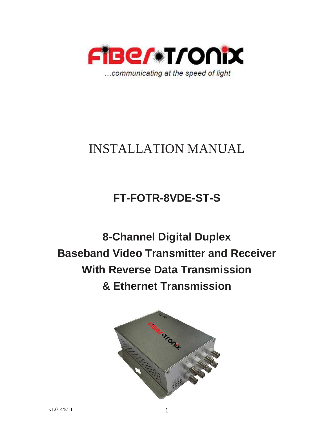

# INSTALLATION MANUAL

## **FT-FOTR-8VDE-ST-S**

**8-Channel Digital Duplex Baseband Video Transmitter and Receiver With Reverse Data Transmission & Ethernet Transmission**

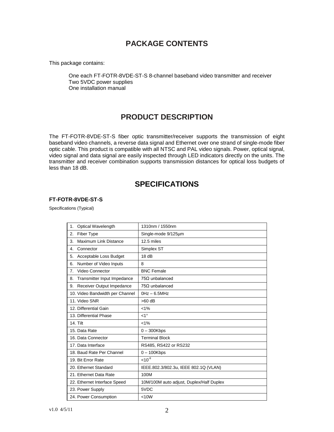## **PACKAGE CONTENTS**

This package contains:

One each FT-FOTR-8VDE-ST-S 8-channel baseband video transmitter and receiver Two 5VDC power supplies One installation manual

## **PRODUCT DESCRIPTION**

The FT-FOTR-8VDE-ST-S fiber optic transmitter/receiver supports the transmission of eight baseband video channels, a reverse data signal and Ethernet over one strand of single-mode fiber optic cable. This product is compatible with all NTSC and PAL video signals. Power, optical signal, video signal and data signal are easily inspected through LED indicators directly on the units. The transmitter and receiver combination supports transmission distances for optical loss budgets of less than 18 dB.

### **SPECIFICATIONS**

#### **FT-FOTR-8VDE-ST-S**

Specifications (Typical)

| Optical Wavelength<br>1.          | 1310nm / 1550nm                          |
|-----------------------------------|------------------------------------------|
| Fiber Type<br>2.                  | Single-mode 9/125um                      |
| Maximum Link Distance<br>3.       | 12.5 miles                               |
| Connector<br>4.                   | Simplex ST                               |
| Acceptable Loss Budget<br>5.      | 18dB                                     |
| Number of Video Inputs<br>6.      | 8                                        |
| Video Connector<br>7.             | <b>BNC Female</b>                        |
| Transmitter Input Impedance<br>8. | $75\Omega$ unbalanced                    |
| Receiver Output Impedance<br>9.   | $75\Omega$ unbalanced                    |
| 10. Video Bandwidth per Channel   | $0Hz - 6.5MHz$                           |
| 11. Video SNR                     | $>60$ dB                                 |
| 12. Differential Gain             | $< 1\%$                                  |
| 13. Differential Phase            | $<1^{\circ}$                             |
| 14. Tilt                          | $< 1\%$                                  |
| 15. Data Rate                     | $0 - 300$ Kbps                           |
| 16. Data Connector                | <b>Terminal Block</b>                    |
| 17. Data Interface                | RS485, RS422 or RS232                    |
| 18. Baud Rate Per Channel         | $0 - 100$ Kbps                           |
| 19. Bit Error Rate                | $< 10^{-9}$                              |
| 20. Ethernet Standard             | IEEE.802.3/802.3u, IEEE 802.1Q (VLAN)    |
| 21. Ethernet Data Rate            | 100M                                     |
| 22. Ethernet Interface Speed      | 10M/100M auto adjust, Duplex/Half Duplex |
| 23. Power Supply                  | 5VDC                                     |
| 24. Power Consumption             | < 10W                                    |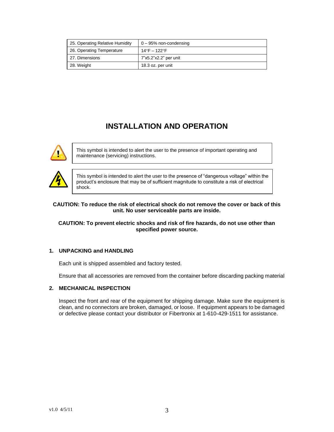| 25. Operating Relative Humidity | $0 - 95%$ non-condensing |
|---------------------------------|--------------------------|
| 26. Operating Temperature       | 14°F – 122°F             |
| 27. Dimensions                  | 7"x5.2"x2.2" per unit    |
| 28. Weight                      | 18.3 oz. per unit        |

## **INSTALLATION AND OPERATION**



This symbol is intended to alert the user to the presence of important operating and maintenance (servicing) instructions.



This symbol is intended to alert the user to the presence of "dangerous voltage" within the product's enclosure that may be of sufficient magnitude to constitute a risk of electrical shock.

#### **CAUTION: To reduce the risk of electrical shock do not remove the cover or back of this unit. No user serviceable parts are inside.**

#### **CAUTION: To prevent electric shocks and risk of fire hazards, do not use other than specified power source.**

#### **1. UNPACKING and HANDLING**

Each unit is shipped assembled and factory tested.

Ensure that all accessories are removed from the container before discarding packing material

#### **2. MECHANICAL INSPECTION**

Inspect the front and rear of the equipment for shipping damage. Make sure the equipment is clean, and no connectors are broken, damaged, or loose. If equipment appears to be damaged or defective please contact your distributor or Fibertronix at 1-610-429-1511 for assistance.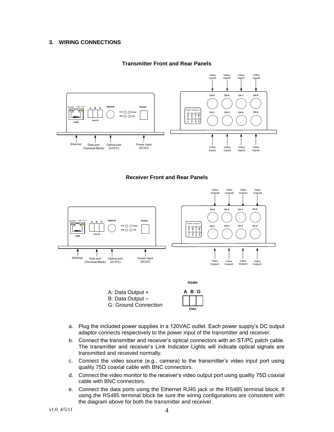#### **3. WIRING CONNECTIONS**





**Receiver Front and Rear Panels**



- a. Plug the included power supplies in a 120VAC outlet. Each power supply's DC output adaptor connects respectively to the power input of the transmitter and receiver.
- b. Connect the transmitter and receiver's optical connectors with an ST/PC patch cable. The transmitter and receiver's Link Indicator Lights will indicate optical signals are transmitted and received normally.
- c. Connect the video source (e.g., camera) to the transmitter's video input port using quality 75Ω coaxial cable with BNC connectors.
- d. Connect the video monitor to the receiver's video output port using quality 75Ω coaxial cable with BNC connectors.
- e. Connect the data ports using the Ethernet RJ45 jack or the RS485 terminal block. If using the RS485 terminal block be sure the wiring configurations are consistent with the diagram above for both the transmitter and receiver.